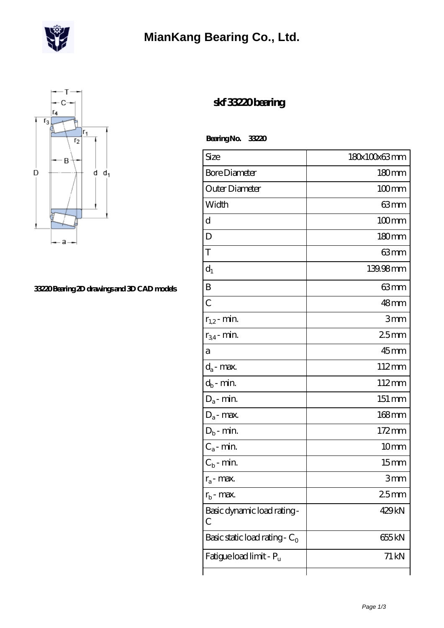

### **[MianKang Bearing Co., Ltd.](https://deadly30.com)**



#### **[33220 Bearing 2D drawings and 3D CAD models](https://deadly30.com/pic-65224570.html)**

### **[skf 33220 bearing](https://deadly30.com/skf-33220-bearing/)**

 **Bearing No. 33220**

| Size                             | 180x100x63mm      |
|----------------------------------|-------------------|
| <b>Bore Diameter</b>             | $180 \text{mm}$   |
| Outer Diameter                   | $100 \text{mm}$   |
| Width                            | 63 mm             |
| d                                | $100$ mm          |
| D                                | 180mm             |
| T                                | $63 \text{mm}$    |
| $d_1$                            | 139.98mm          |
| B                                | 63mm              |
| C                                | $48 \text{mm}$    |
| $r_{1,2}$ - min.                 | 3mm               |
| $r_{34}$ - min.                  | 25mm              |
| а                                | $45$ mm           |
| $d_a$ - max.                     | 112mm             |
| $d_b$ - min.                     | 112mm             |
| $D_a$ - min.                     | 151 mm            |
| $D_a$ - max.                     | $168$ mm          |
| $D_b$ - min.                     | 172mm             |
| $C_a$ - min.                     | 10 <sub>mm</sub>  |
| $C_{b}$ - min.                   | 15 <sub>mm</sub>  |
| $r_a$ - max.                     | 3mm               |
| $r_{\rm b}$ - max.               | 25 <sub>mm</sub>  |
| Basic dynamic load rating-<br>С  | 429kN             |
| Basic static load rating - $C_0$ | 655 <sub>kN</sub> |
| Fatigue load limit - Pu          | $71 \mathrm{kN}$  |
|                                  |                   |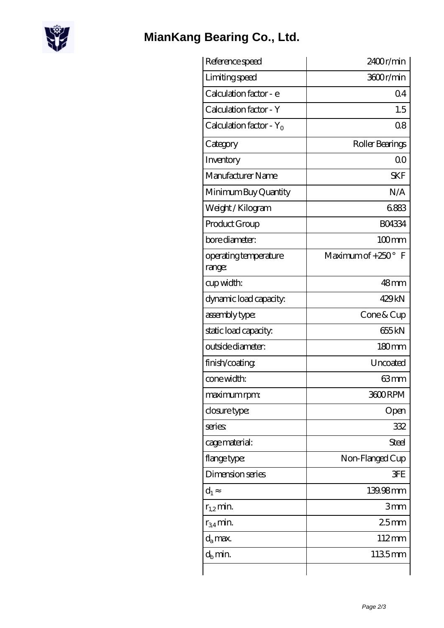

# **[MianKang Bearing Co., Ltd.](https://deadly30.com)**

| Reference speed                 | 2400r/min                 |
|---------------------------------|---------------------------|
| Limiting speed                  | 3600r/min                 |
| Calculation factor - e          | Q <sub>4</sub>            |
| Calculation factor - Y          | 1.5                       |
| Calculation factor - $Y_0$      | 08                        |
| Category                        | Roller Bearings           |
| Inventory                       | 0 <sup>0</sup>            |
| Manufacturer Name               | <b>SKF</b>                |
| Minimum Buy Quantity            | N/A                       |
| Weight/Kilogram                 | 6883                      |
| Product Group                   | <b>BO4334</b>             |
| bore diameter:                  | $100$ mm                  |
| operating temperature<br>range: | Maximum of $+250^\circ$ F |
| cup width:                      | 48mm                      |
| dynamic load capacity.          | 429kN                     |
| assembly type:                  | $C$ one & $C$ up          |
| static load capacity.           | 655kN                     |
| outside diameter:               | 180mm                     |
| finish/coating                  | Uncoated                  |
| cone width:                     | 63mm                      |
| maximum rpm:                    | 3600RPM                   |
| closure type:                   | Open                      |
| series:                         | 332                       |
| cage material:                  | <b>Steel</b>              |
| flange type:                    | Non-Flanged Cup           |
| Dimension series                | <b>3FE</b>                |
| $d_1$                           | 139.98mm                  |
| $r_{1,2}$ min.                  | 3mm                       |
| $r_{34}$ min.                   | 25mm                      |
| $d_a$ max.                      | 112mm                     |
| $d_h$ min.                      | 1135mm                    |
|                                 |                           |